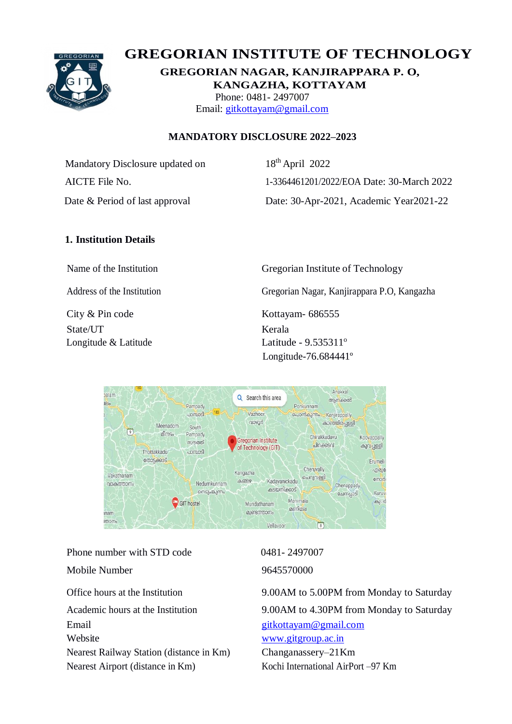

# **GREGORIAN INSTITUTE OF TECHNOLOGY**

**GREGORIAN NAGAR, KANJIRAPPARA P. O, KANGAZHA, KOTTAYAM** Phone: 0481- 2497007 Email: [gitkottayam@gmail.com](mailto:gitkottayam@gmail.com)

#### **MANDATORY DISCLOSURE 2022–2023**

Mandatory Disclosure updated on 18<sup>th</sup> April 2022

AICTE File No. 1-3364461201/2022/EOA Date: 30-March 2022 Date & Period of last approval Date: 30-Apr-2021, Academic Year2021-22

# **1. Institution Details**

City & Pin code Kottayam- 686555 State/UT Kerala

Name of the Institution Gregorian Institute of Technology

Address of the Institution Gregorian Nagar, Kanjirappara P.O, Kangazha

Longitude & Latitude **Latitude** - 9.535311<sup>o</sup> Longitude-76.684441º



Phone number with STD code 0481- 2497007 Mobile Number 9645570000 Email [gitkottayam@gmail.com](mailto:gitkottayam@gmail.com) Website [www.gitgroup.ac.in](http://www.gitgroup.ac.in/) Nearest Railway Station (distance in Km) Changanassery–21Km Nearest Airport (distance in Km) Kochi International AirPort –97 Km

Office hours at the Institution 9.00AM to 5.00PM from Monday to Saturday Academic hours at the Institution 9.00AM to 4.30PM from Monday to Saturday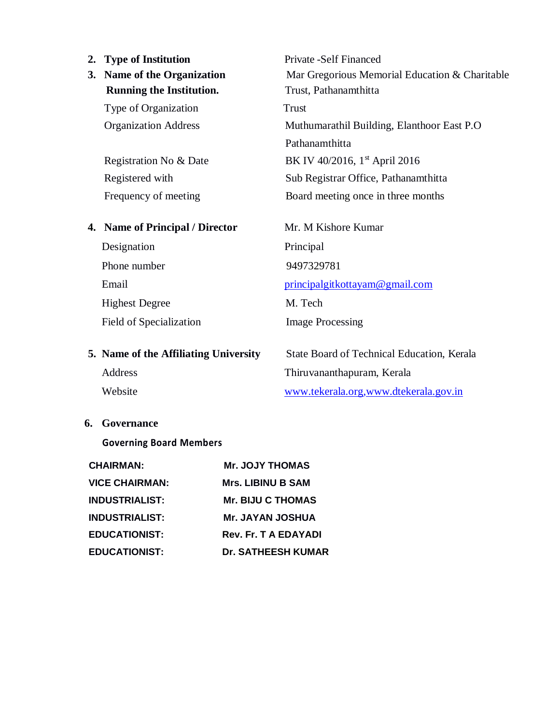#### **2. Type of Institution** Private -Self Financed

# **Running the Institution.** Trust, Pathanamthitta

Type of Organization Trust

#### **4. Name of Principal / Director** Mr. M Kishore Kumar

Designation Principal Phone number 9497329781 Highest Degree M. Tech Field of Specialization Image Processing

**3. Name of the Organization** Mar Gregorious Memorial Education & Charitable Organization Address Muthumarathil Building, Elanthoor East P.O Pathanamthitta Registration No & Date BK IV 40/2016,  $1<sup>st</sup>$  April 2016 Registered with Sub Registrar Office, Pathanamthitta Frequency of meeting Board meeting once in three months

Email [principalgitkottayam@gmail.com](mailto:principalgitkottayam@gmail.com)

**5. Name of the Affiliating University** State Board of Technical Education, Kerala Address Thiruvananthapuram, Kerala Website [www.tekerala.org](http://www.tekerala.org/)[,www.dtekerala.gov.in](http://www.dtekerala.gov.in/)

**6. Governance**

#### **Governing Board Members**

| <b>CHAIRMAN:</b>      | <b>Mr. JOJY THOMAS</b>      |
|-----------------------|-----------------------------|
| <b>VICE CHAIRMAN:</b> | <b>Mrs. LIBINU B SAM</b>    |
| <b>INDUSTRIALIST:</b> | <b>Mr. BIJU C THOMAS</b>    |
| <b>INDUSTRIALIST:</b> | <b>Mr. JAYAN JOSHUA</b>     |
| <b>EDUCATIONIST:</b>  | <b>Rev. Fr. T A EDAYADI</b> |
| <b>EDUCATIONIST:</b>  | <b>Dr. SATHEESH KUMAR</b>   |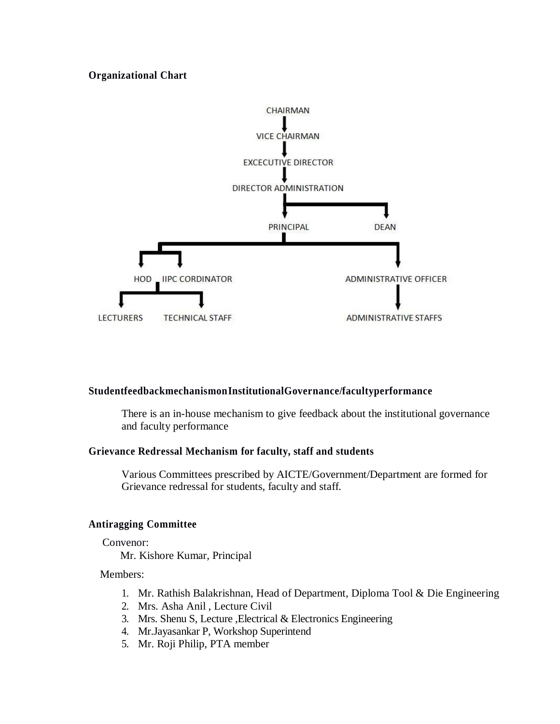#### **Organizational Chart**



#### **StudentfeedbackmechanismonInstitutionalGovernance/facultyperformance**

There is an in-house mechanism to give feedback about the institutional governance and faculty performance

#### **Grievance Redressal Mechanism for faculty, staff and students**

Various Committees prescribed by AICTE/Government/Department are formed for Grievance redressal for students, faculty and staff.

#### **Antiragging Committee**

#### Convenor:

Mr. Kishore Kumar, Principal

#### Members:

- 1. Mr. Rathish Balakrishnan, Head of Department, Diploma Tool & Die Engineering
- 2. Mrs. Asha Anil , Lecture Civil
- 3. Mrs. Shenu S, Lecture ,Electrical & Electronics Engineering
- 4. Mr.Jayasankar P, Workshop Superintend
- 5. Mr. Roji Philip, PTA member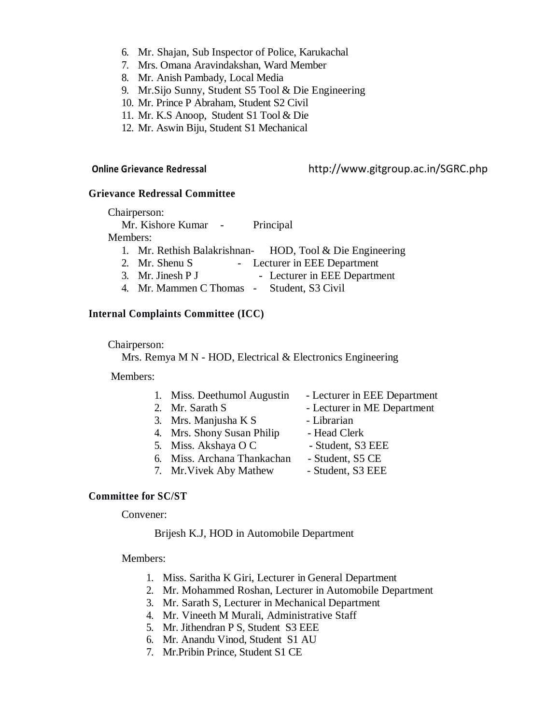- 6. Mr. Shajan, Sub Inspector of Police, Karukachal
- 7. Mrs. Omana Aravindakshan, Ward Member
- 8. Mr. Anish Pambady, Local Media
- 9. Mr.Sijo Sunny, Student S5 Tool & Die Engineering
- 10. Mr. Prince P Abraham, Student S2 Civil
- 11. Mr. K.S Anoop, Student S1 Tool & Die
- 12. Mr. Aswin Biju, Student S1 Mechanical

#### **Online Grievance Redressal** http://www.gitgroup.ac.in/SGRC.php

#### **Grievance Redressal Committee**

|          | Chairperson:                    |                                                            |
|----------|---------------------------------|------------------------------------------------------------|
|          | Mr. Kishore Kumar -             | Principal                                                  |
| Members: |                                 |                                                            |
|          |                                 | 1. Mr. Rethish Balakrishnan- HOD, Tool $&$ Die Engineering |
|          | 2. Mr. Shenu S                  | - Lecturer in EEE Department                               |
|          | 3. Mr. Jinesh P J               | - Lecturer in EEE Department                               |
|          | $\lambda$ as a set of $\lambda$ | 0.1.00011                                                  |

4. Mr. Mammen C Thomas - Student, S3 Civil

#### **Internal Complaints Committee (ICC)**

#### Chairperson:

Mrs. Remya M N - HOD, Electrical & Electronics Engineering

#### Members:

- 1. Miss. Deethumol Augustin Lecturer in EEE Department
- 
- 3. Mrs. Manjusha K S Librarian
- 4. Mrs. Shony Susan Philip Head Clerk
- 5. Miss. Akshaya O C Student, S3 EEE
- 6. Miss. Archana Thankachan Student, S5 CE
- 7. Mr. Vivek Aby Mathew Student, S3 EEE
- 
- 2. Mr. Sarath S Lecturer in ME Department
	-
	-
	-
	-
	-

#### **Committee for SC/ST**

Convener:

#### Brijesh K.J, HOD in Automobile Department

#### Members:

- 1. Miss. Saritha K Giri, Lecturer in General Department
- 2. Mr. Mohammed Roshan, Lecturer in Automobile Department
- 3. Mr. Sarath S, Lecturer in Mechanical Department
- 4. Mr. Vineeth M Murali, Administrative Staff
- 5. Mr. Jithendran P S, Student S3 EEE
- 6. Mr. Anandu Vinod, Student S1 AU
- 7. Mr.Pribin Prince, Student S1 CE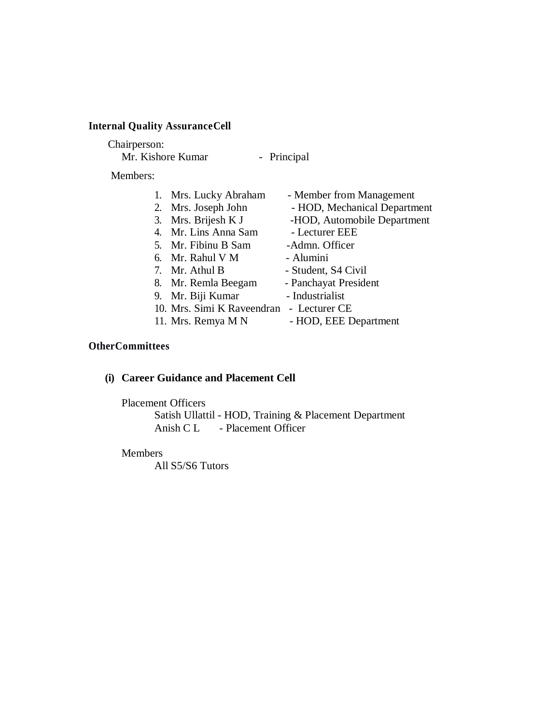#### **Internal Quality AssuranceCell**

#### Chairperson:

Mr. Kishore Kumar - Principal

Members:

|  | 1. Mrs. Lucky Abraham                    | - Member from Management     |
|--|------------------------------------------|------------------------------|
|  | 2. Mrs. Joseph John                      | - HOD, Mechanical Department |
|  | 3. Mrs. Brijesh K J                      | -HOD, Automobile Department  |
|  | 4. Mr. Lins Anna Sam                     | - Lecturer EEE               |
|  | 5. Mr. Fibinu B Sam                      | -Admn. Officer               |
|  | 6. Mr. Rahul V M                         | - Alumini                    |
|  | 7. Mr. Athul B                           | - Student, S4 Civil          |
|  | 8. Mr. Remla Beegam                      | - Panchayat President        |
|  | 9. Mr. Biji Kumar                        | - Industrialist              |
|  | 10. Mrs. Simi K Raveendran - Lecturer CE |                              |
|  | 11. Mrs. Remya M N                       | - HOD, EEE Department        |

### **OtherCommittees**

# **(i) Career Guidance and Placement Cell**

#### Placement Officers

Satish Ullattil - HOD, Training & Placement Department Anish C L - Placement Officer

#### Members

All S5/S6 Tutors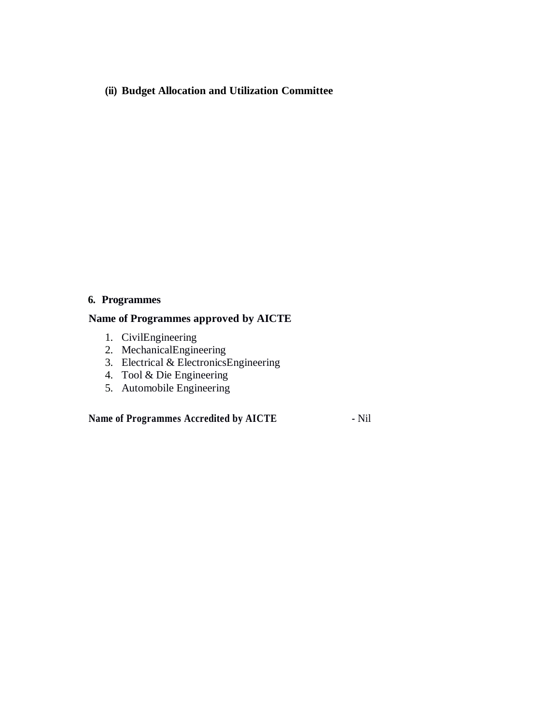**(ii) Budget Allocation and Utilization Committee**

#### **6. Programmes**

#### **Name of Programmes approved by AICTE**

- 1. CivilEngineering
- 2. MechanicalEngineering
- 3. Electrical & ElectronicsEngineering
- 4. Tool & Die Engineering
- 5. Automobile Engineering

**Name of Programmes Accredited by AICTE -** Nil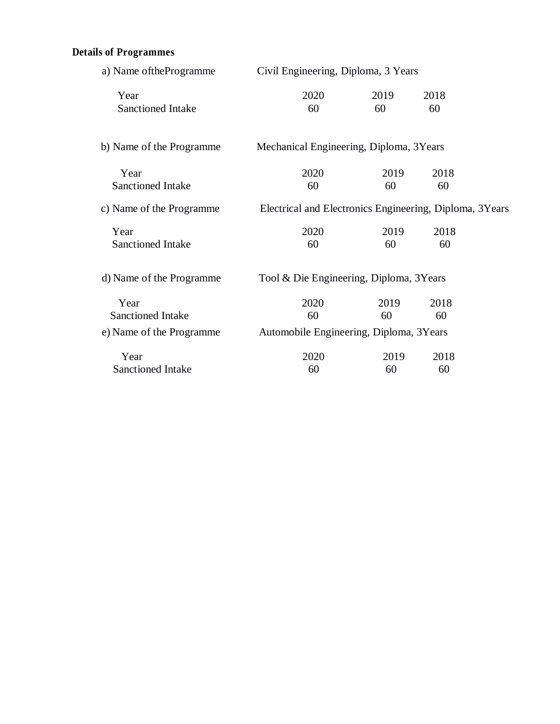# **Details of Programmes**

| a) Name of the Programme                                     | Civil Engineering, Diploma, 3 Years                     |            |            |  |
|--------------------------------------------------------------|---------------------------------------------------------|------------|------------|--|
| Year<br>Sanctioned Intake                                    | 2020<br>60                                              | 2019<br>60 | 2018<br>60 |  |
| b) Name of the Programme                                     | Mechanical Engineering, Diploma, 3Years                 |            |            |  |
| Year<br>Sanctioned Intake                                    | 2020<br>60                                              | 2019<br>60 | 2018<br>60 |  |
| c) Name of the Programme                                     | Electrical and Electronics Engineering, Diploma, 3Years |            |            |  |
| Year<br>Sanctioned Intake                                    | 2020<br>60                                              | 2019<br>60 | 2018<br>60 |  |
| d) Name of the Programme                                     | Tool & Die Engineering, Diploma, 3Years                 |            |            |  |
| Year<br><b>Sanctioned Intake</b><br>e) Name of the Programme | 2020<br>60<br>Automobile Engineering, Diploma, 3Years   | 2019<br>60 | 2018<br>60 |  |
| Year<br>Sanctioned Intake                                    | 2020<br>60                                              | 2019<br>60 | 2018<br>60 |  |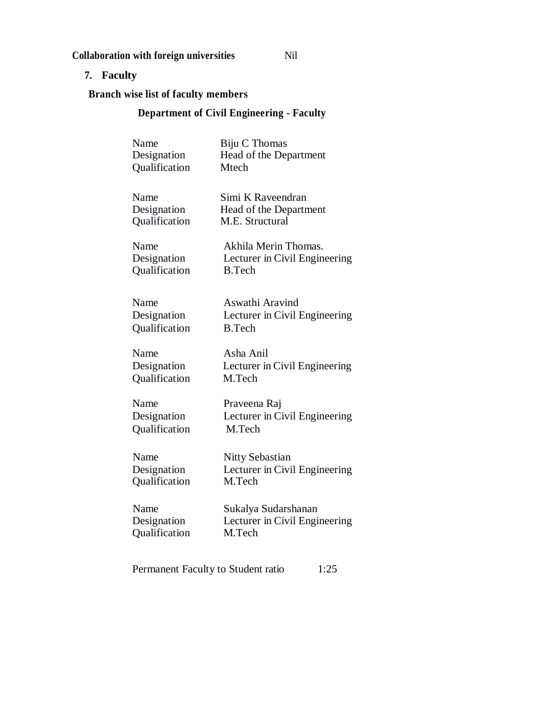## **Collaboration with foreign universities** Nil

# **7. Faculty**

**Branch wise list of faculty members**

# **Department of Civil Engineering - Faculty**

| Name<br>Designation<br>Qualification | Biju C Thomas<br>Head of the Department<br>Mtech                       |
|--------------------------------------|------------------------------------------------------------------------|
| Name<br>Designation<br>Qualification | Simi K Raveendran<br>Head of the Department<br>M.E. Structural         |
| Name<br>Designation<br>Qualification | Akhila Merin Thomas.<br>Lecturer in Civil Engineering<br><b>B.Tech</b> |
| Name<br>Designation<br>Qualification | Aswathi Aravind<br>Lecturer in Civil Engineering<br><b>B.Tech</b>      |
| Name<br>Designation<br>Qualification | Asha Anil<br>Lecturer in Civil Engineering<br>M.Tech                   |
| Name<br>Designation<br>Qualification | Praveena Raj<br>Lecturer in Civil Engineering<br>M.Tech                |
| Name<br>Designation<br>Qualification | <b>Nitty Sebastian</b><br>Lecturer in Civil Engineering<br>M.Tech      |
| Name<br>Designation<br>Qualification | Sukalya Sudarshanan<br>Lecturer in Civil Engineering<br>M.Tech         |
|                                      |                                                                        |

Permanent Faculty to Student ratio 1:25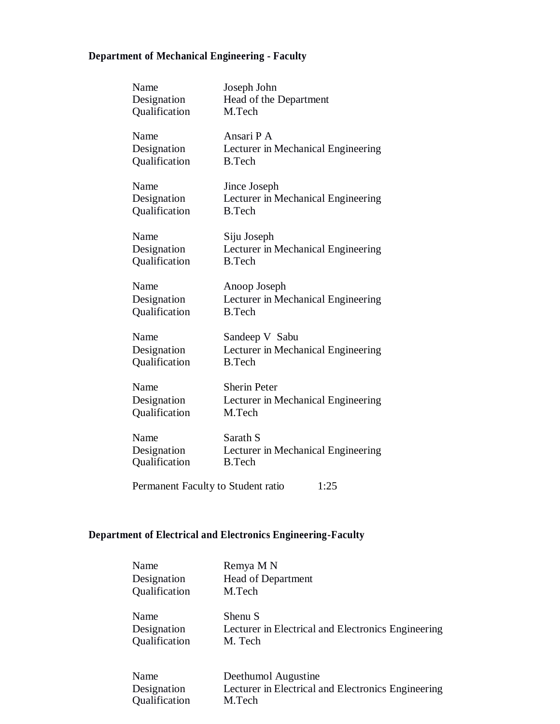# **Department of Mechanical Engineering - Faculty**

| Name                                       | Joseph John                                         |  |
|--------------------------------------------|-----------------------------------------------------|--|
| Designation<br>Qualification               | Head of the Department<br>M.Tech                    |  |
| Name                                       | Ansari P A                                          |  |
| Designation<br>Qualification               | Lecturer in Mechanical Engineering<br><b>B.Tech</b> |  |
| Name                                       | Jince Joseph                                        |  |
| Designation<br>Qualification               | Lecturer in Mechanical Engineering<br><b>B.Tech</b> |  |
| Name                                       | Siju Joseph                                         |  |
| Designation                                | Lecturer in Mechanical Engineering                  |  |
| Qualification                              | <b>B.Tech</b>                                       |  |
| Name                                       | Anoop Joseph                                        |  |
| Designation                                | Lecturer in Mechanical Engineering                  |  |
| Qualification                              | <b>B.Tech</b>                                       |  |
| Name                                       | Sandeep V Sabu                                      |  |
| Designation                                | Lecturer in Mechanical Engineering                  |  |
| Qualification                              | <b>B.Tech</b>                                       |  |
| Name                                       | <b>Sherin Peter</b>                                 |  |
| Designation                                | Lecturer in Mechanical Engineering                  |  |
| Qualification                              | M.Tech                                              |  |
| Name                                       | Sarath S                                            |  |
| Designation                                | Lecturer in Mechanical Engineering                  |  |
| Qualification                              | <b>B.Tech</b>                                       |  |
| Permanent Faculty to Student ratio<br>1:25 |                                                     |  |

# **Department of Electrical and Electronics Engineering-Faculty**

| Name          | Remya M N                                          |
|---------------|----------------------------------------------------|
| Designation   | <b>Head of Department</b>                          |
| Qualification | M.Tech                                             |
| Name          | Shenu S                                            |
| Designation   | Lecturer in Electrical and Electronics Engineering |
| Qualification | M. Tech                                            |
| Name          | Deethumol Augustine                                |
| Designation   | Lecturer in Electrical and Electronics Engineering |
| Qualification | M.Tech                                             |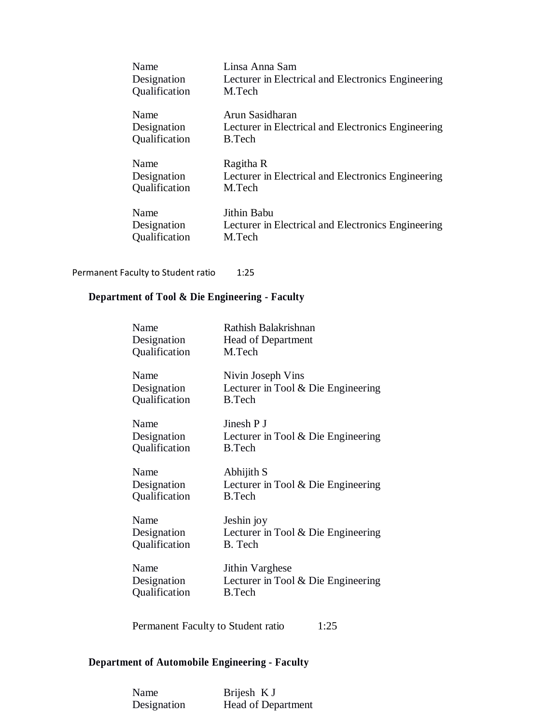| Name          | Linsa Anna Sam                                     |
|---------------|----------------------------------------------------|
| Designation   | Lecturer in Electrical and Electronics Engineering |
| Qualification | M.Tech                                             |
| Name          | Arun Sasidharan                                    |
| Designation   | Lecturer in Electrical and Electronics Engineering |
| Qualification | <b>B.Tech</b>                                      |
| Name          | Ragitha R                                          |
| Designation   | Lecturer in Electrical and Electronics Engineering |
| Qualification | M.Tech                                             |
| Name          | Jithin Babu                                        |
| Designation   | Lecturer in Electrical and Electronics Engineering |
| Qualification | M.Tech                                             |

#### Permanent Faculty to Student ratio 1:25

# **Department of Tool & Die Engineering - Faculty**

| Name          | Rathish Balakrishnan                 |
|---------------|--------------------------------------|
| Designation   | <b>Head of Department</b>            |
| Qualification | M.Tech                               |
| Name          | Nivin Joseph Vins                    |
| Designation   | Lecturer in Tool & Die Engineering   |
| Qualification | B.Tech                               |
| Name          | Jinesh P J                           |
| Designation   | Lecturer in Tool & Die Engineering   |
| Qualification | <b>B.Tech</b>                        |
| Name          | Abhijith S                           |
| Designation   | Lecturer in Tool $&$ Die Engineering |
| Qualification | <b>B.Tech</b>                        |
| Name          | Jeshin joy                           |
| Designation   | Lecturer in Tool & Die Engineering   |
| Qualification | B. Tech                              |
| Name          | Jithin Varghese                      |
| Designation   | Lecturer in Tool & Die Engineering   |
| Qualification | <b>B.Tech</b>                        |

Permanent Faculty to Student ratio 1:25

# **Department of Automobile Engineering - Faculty**

| Name        | Brijesh K J        |
|-------------|--------------------|
| Designation | Head of Department |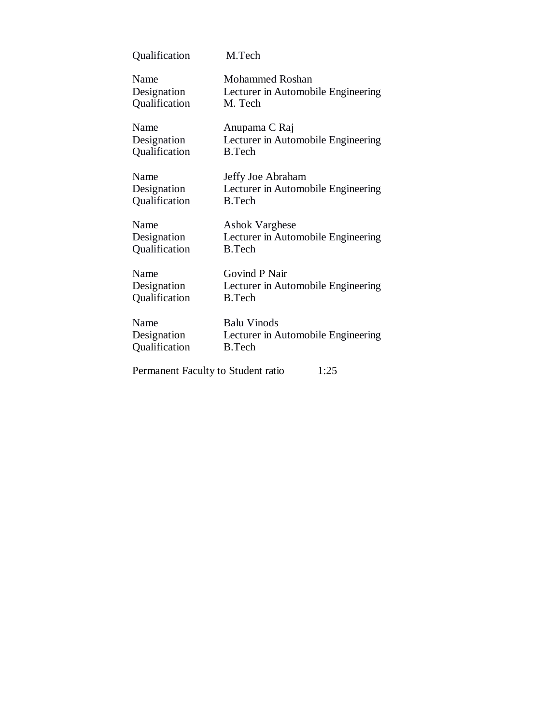| Qualification                      | M.Tech                             |
|------------------------------------|------------------------------------|
| Name                               | <b>Mohammed Roshan</b>             |
| Designation                        | Lecturer in Automobile Engineering |
| Qualification                      | M. Tech                            |
| Name                               | Anupama C Raj                      |
| Designation                        | Lecturer in Automobile Engineering |
| Qualification                      | <b>B.Tech</b>                      |
| Name                               | Jeffy Joe Abraham                  |
| Designation                        | Lecturer in Automobile Engineering |
| Qualification                      | <b>B.Tech</b>                      |
| Name                               | <b>Ashok Varghese</b>              |
| Designation                        | Lecturer in Automobile Engineering |
| Qualification                      | <b>B.Tech</b>                      |
| Name                               | Govind P Nair                      |
| Designation                        | Lecturer in Automobile Engineering |
| Qualification                      | <b>B.Tech</b>                      |
| Name                               | <b>Balu Vinods</b>                 |
| Designation                        | Lecturer in Automobile Engineering |
| Qualification                      | <b>B.Tech</b>                      |
| Permanent Faculty to Student ratio | 1:25                               |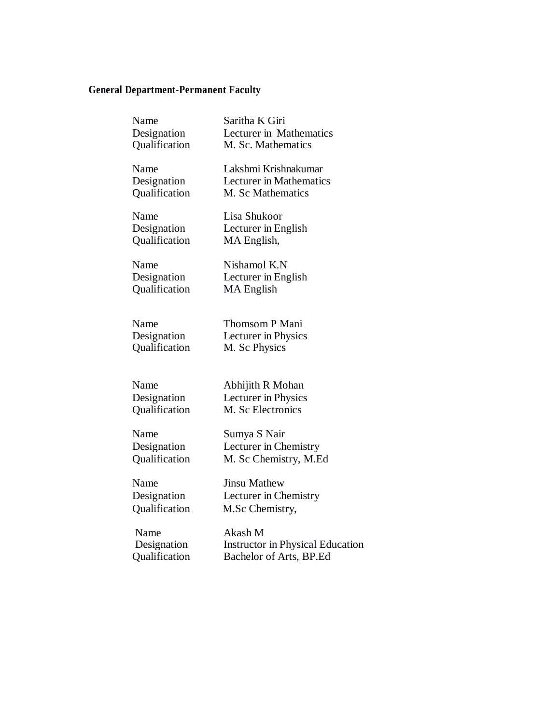# **General Department-Permanent Faculty**

| Name          | Saritha K Giri                          |
|---------------|-----------------------------------------|
| Designation   | Lecturer in Mathematics                 |
| Qualification | M. Sc. Mathematics                      |
| Name          | Lakshmi Krishnakumar                    |
| Designation   | <b>Lecturer</b> in Mathematics          |
| Qualification | M. Sc Mathematics                       |
| Name          | Lisa Shukoor                            |
| Designation   | Lecturer in English                     |
| Qualification | MA English,                             |
| Name          | Nishamol K.N                            |
| Designation   | Lecturer in English                     |
| Qualification | MA English                              |
| Name          | Thomsom P Mani                          |
| Designation   | Lecturer in Physics                     |
| Qualification | M. Sc Physics                           |
| Name          | Abhijith R Mohan                        |
| Designation   | Lecturer in Physics                     |
| Qualification | M. Sc Electronics                       |
| Name          | Sumya S Nair                            |
| Designation   | Lecturer in Chemistry                   |
| Qualification | M. Sc Chemistry, M.Ed                   |
| Name          | <b>Jinsu Mathew</b>                     |
| Designation   | Lecturer in Chemistry                   |
| Qualification | M.Sc Chemistry,                         |
| Name          | Akash M                                 |
| Designation   | <b>Instructor in Physical Education</b> |

Qualification Bachelor of Arts, BP.Ed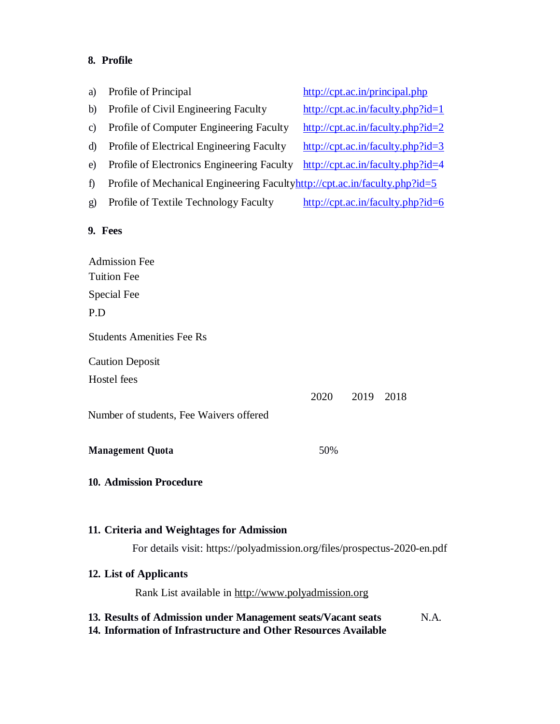# **8. Profile**

| a)           | Profile of Principal                                                                                                            | http://cpt.ac.in/principal.php                                             |  |  |
|--------------|---------------------------------------------------------------------------------------------------------------------------------|----------------------------------------------------------------------------|--|--|
| b)           | Profile of Civil Engineering Faculty                                                                                            | $http://cpt.ac.in/faculty.php?id=1$                                        |  |  |
| $\mathbf{c}$ | Profile of Computer Engineering Faculty                                                                                         | $http://cpt.ac.in/faculty.php?id=2$                                        |  |  |
| d)           | Profile of Electrical Engineering Faculty                                                                                       | $http://cpt.ac.in/faculty.php?id=3$                                        |  |  |
| e)           | Profile of Electronics Engineering Faculty                                                                                      | http://cpt.ac.in/faculty.php?id=4                                          |  |  |
| $\hat{D}$    |                                                                                                                                 | Profile of Mechanical Engineering Facultyhttp://cpt.ac.in/faculty.php?id=5 |  |  |
| g)           | Profile of Textile Technology Faculty                                                                                           | http://cpt.ac.in/faculty.php?id=6                                          |  |  |
|              | 9. Fees                                                                                                                         |                                                                            |  |  |
|              | <b>Admission Fee</b>                                                                                                            |                                                                            |  |  |
|              | <b>Tuition Fee</b>                                                                                                              |                                                                            |  |  |
|              | Special Fee                                                                                                                     |                                                                            |  |  |
| P.D          |                                                                                                                                 |                                                                            |  |  |
|              | <b>Students Amenities Fee Rs</b>                                                                                                |                                                                            |  |  |
|              | <b>Caution Deposit</b>                                                                                                          |                                                                            |  |  |
|              | Hostel fees                                                                                                                     |                                                                            |  |  |
|              |                                                                                                                                 | 2020<br>2019<br>2018                                                       |  |  |
|              | Number of students, Fee Waivers offered                                                                                         |                                                                            |  |  |
|              | <b>Management Quota</b>                                                                                                         | 50%                                                                        |  |  |
|              | <b>10. Admission Procedure</b>                                                                                                  |                                                                            |  |  |
|              | 11. Criteria and Weightages for Admission                                                                                       |                                                                            |  |  |
|              | For details visit: https://polyadmission.org/files/prospectus-2020-en.pdf                                                       |                                                                            |  |  |
|              | 12. List of Applicants                                                                                                          |                                                                            |  |  |
|              | Rank List available in http://www.polyadmission.org                                                                             |                                                                            |  |  |
|              | 13. Results of Admission under Management seats/Vacant seats<br>14. Information of Infrastructure and Other Resources Available | N.A.                                                                       |  |  |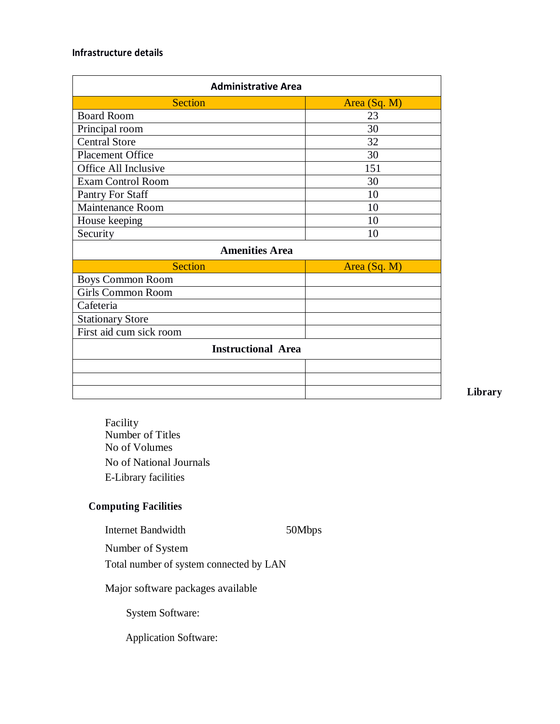#### **Infrastructure details**

| <b>Administrative Area</b> |              |  |  |  |
|----------------------------|--------------|--|--|--|
| <b>Section</b>             | Area (Sq. M) |  |  |  |
| <b>Board Room</b>          | 23           |  |  |  |
| Principal room             | 30           |  |  |  |
| <b>Central Store</b>       | 32           |  |  |  |
| <b>Placement Office</b>    | 30           |  |  |  |
| Office All Inclusive       | 151          |  |  |  |
| <b>Exam Control Room</b>   | 30           |  |  |  |
| Pantry For Staff           | 10           |  |  |  |
| <b>Maintenance Room</b>    | 10           |  |  |  |
| House keeping              | 10           |  |  |  |
| Security                   | 10           |  |  |  |
| <b>Amenities Area</b>      |              |  |  |  |
| <b>Section</b>             | Area (Sq. M) |  |  |  |
| <b>Boys Common Room</b>    |              |  |  |  |
| Girls Common Room          |              |  |  |  |
| Cafeteria                  |              |  |  |  |
| <b>Stationary Store</b>    |              |  |  |  |
| First aid cum sick room    |              |  |  |  |
| <b>Instructional Area</b>  |              |  |  |  |
|                            |              |  |  |  |
|                            |              |  |  |  |
|                            |              |  |  |  |

**Library**

Facility Number of Titles No of Volumes No of National Journals E-Library facilities

#### **Computing Facilities**

Internet Bandwidth 50Mbps

Number of System

Total number of system connected by LAN

Major software packages available

System Software:

Application Software: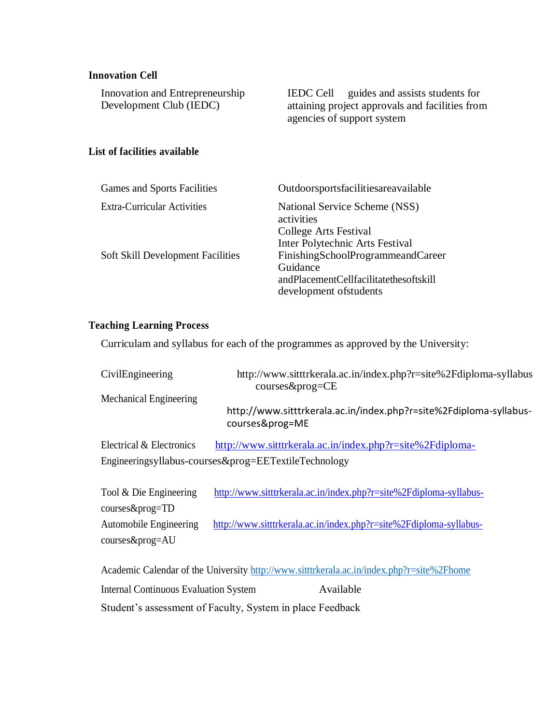#### **Innovation Cell**

| Innovation and Entrepreneurship |                                                 | IEDC Cell guides and assists students for |
|---------------------------------|-------------------------------------------------|-------------------------------------------|
| Development Club (IEDC)         | attaining project approvals and facilities from |                                           |
|                                 |                                                 | agencies of support system                |

#### **List of facilities available**

| <b>Games and Sports Facilities</b>       | Outdoorsportsfacilitiesareavailable                                                                                                                   |  |
|------------------------------------------|-------------------------------------------------------------------------------------------------------------------------------------------------------|--|
| <b>Extra-Curricular Activities</b>       | National Service Scheme (NSS)<br>activities<br>College Arts Festival                                                                                  |  |
| <b>Soft Skill Development Facilities</b> | Inter Polytechnic Arts Festival<br>FinishingSchoolProgrammeandCareer<br>Guidance<br>andPlacementCellfacilitatethesoftskill<br>development of students |  |

#### **Teaching Learning Process**

Curriculam and syllabus for each of the programmes as approved by the University:

| CivilEngineering                                     | http://www.sitttrkerala.ac.in/index.php?r=site%2Fdiploma-syllabus<br>$course\&prog=CE$ |  |  |  |  |
|------------------------------------------------------|----------------------------------------------------------------------------------------|--|--|--|--|
| <b>Mechanical Engineering</b>                        | http://www.sitttrkerala.ac.in/index.php?r=site%2Fdiploma-syllabus-<br>courses&prog=ME  |  |  |  |  |
| Electrical & Electronics                             | http://www.sitttrkerala.ac.in/index.php?r=site%2Fdiploma-                              |  |  |  |  |
| Engineeringsyllabus-courses&prog=EETextileTechnology |                                                                                        |  |  |  |  |

| Tool & Die Engineering | http://www.sitttrkerala.ac.in/index.php?r=site%2Fdiploma-syllabus- |  |  |
|------------------------|--------------------------------------------------------------------|--|--|
| $course\&prog=TD$      |                                                                    |  |  |
| Automobile Engineering | http://www.sitttrkerala.ac.in/index.php?r=site%2Fdiploma-syllabus- |  |  |
| $course\&prog=AU$      |                                                                    |  |  |

Academic Calendar of the University<http://www.sitttrkerala.ac.in/index.php?r=site%2Fhome> Internal Continuous Evaluation System Available Student's assessment of Faculty, System in place Feedback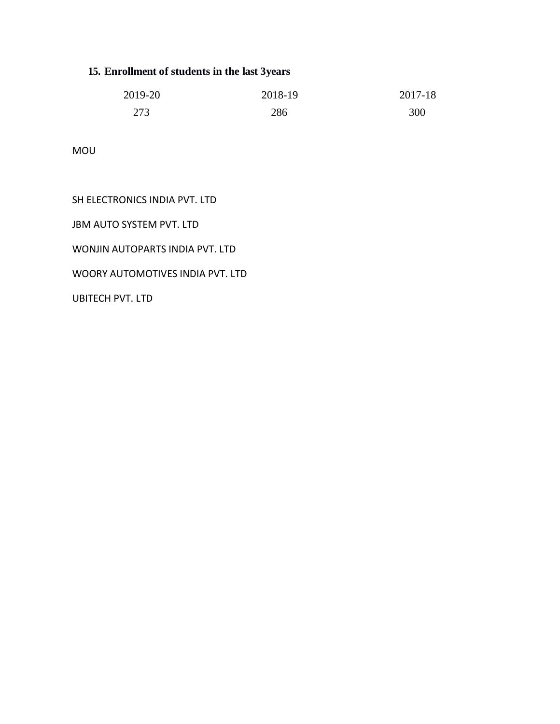# **15. Enrollment of students in the last 3years**

| 2019-20 | 2018-19 | 2017-18 |
|---------|---------|---------|
| 273     | 286     | 300     |

MOU

# SH ELECTRONICS INDIA PVT. LTD

JBM AUTO SYSTEM PVT. LTD

WONJIN AUTOPARTS INDIA PVT. LTD

WOORY AUTOMOTIVES INDIA PVT. LTD

UBITECH PVT. LTD